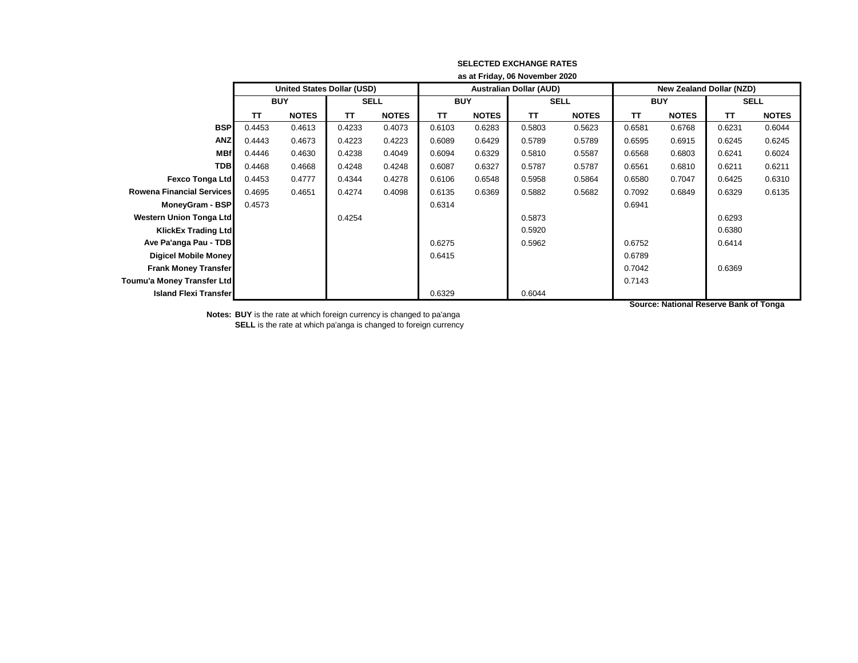|                                  | as at Friday, 06 November 2020 |                                   |             |              |            |              |                                |              |                                 |              |             |              |
|----------------------------------|--------------------------------|-----------------------------------|-------------|--------------|------------|--------------|--------------------------------|--------------|---------------------------------|--------------|-------------|--------------|
|                                  |                                | <b>United States Dollar (USD)</b> |             |              |            |              | <b>Australian Dollar (AUD)</b> |              | <b>New Zealand Dollar (NZD)</b> |              |             |              |
|                                  | <b>BUY</b>                     |                                   | <b>SELL</b> |              | <b>BUY</b> |              | <b>SELL</b>                    |              | <b>BUY</b>                      |              | <b>SELL</b> |              |
|                                  | <b>TT</b>                      | <b>NOTES</b>                      | <b>TT</b>   | <b>NOTES</b> | <b>TT</b>  | <b>NOTES</b> | <b>TT</b>                      | <b>NOTES</b> | <b>TT</b>                       | <b>NOTES</b> | <b>TT</b>   | <b>NOTES</b> |
| <b>BSP</b>                       | 0.4453                         | 0.4613                            | 0.4233      | 0.4073       | 0.6103     | 0.6283       | 0.5803                         | 0.5623       | 0.6581                          | 0.6768       | 0.6231      | 0.6044       |
| <b>ANZ</b>                       | 0.4443                         | 0.4673                            | 0.4223      | 0.4223       | 0.6089     | 0.6429       | 0.5789                         | 0.5789       | 0.6595                          | 0.6915       | 0.6245      | 0.6245       |
| <b>MBf</b>                       | 0.4446                         | 0.4630                            | 0.4238      | 0.4049       | 0.6094     | 0.6329       | 0.5810                         | 0.5587       | 0.6568                          | 0.6803       | 0.6241      | 0.6024       |
| <b>TDB</b>                       | 0.4468                         | 0.4668                            | 0.4248      | 0.4248       | 0.6087     | 0.6327       | 0.5787                         | 0.5787       | 0.6561                          | 0.6810       | 0.6211      | 0.6211       |
| <b>Fexco Tonga Ltd</b>           | 0.4453                         | 0.4777                            | 0.4344      | 0.4278       | 0.6106     | 0.6548       | 0.5958                         | 0.5864       | 0.6580                          | 0.7047       | 0.6425      | 0.6310       |
| <b>Rowena Financial Services</b> | 0.4695                         | 0.4651                            | 0.4274      | 0.4098       | 0.6135     | 0.6369       | 0.5882                         | 0.5682       | 0.7092                          | 0.6849       | 0.6329      | 0.6135       |
| MoneyGram - BSP                  | 0.4573                         |                                   |             |              | 0.6314     |              |                                |              | 0.6941                          |              |             |              |
| <b>Western Union Tonga Ltd</b>   |                                |                                   | 0.4254      |              |            |              | 0.5873                         |              |                                 |              | 0.6293      |              |
| KlickEx Trading Ltd              |                                |                                   |             |              |            |              | 0.5920                         |              |                                 |              | 0.6380      |              |
| Ave Pa'anga Pau - TDB            |                                |                                   |             |              | 0.6275     |              | 0.5962                         |              | 0.6752                          |              | 0.6414      |              |
| <b>Digicel Mobile Money</b>      |                                |                                   |             |              | 0.6415     |              |                                |              | 0.6789                          |              |             |              |
| <b>Frank Money Transfer</b>      |                                |                                   |             |              |            |              |                                |              | 0.7042                          |              | 0.6369      |              |
| Toumu'a Money Transfer Ltd       |                                |                                   |             |              |            |              |                                |              | 0.7143                          |              |             |              |
| <b>Island Flexi Transfer</b>     |                                |                                   |             |              | 0.6329     |              | 0.6044                         |              |                                 |              |             |              |

**Notes: BUY** is the rate at which foreign currency is changed to pa'anga **SELL** is the rate at which pa'anga is changed to foreign currency **Source: National Reserve Bank of Tonga**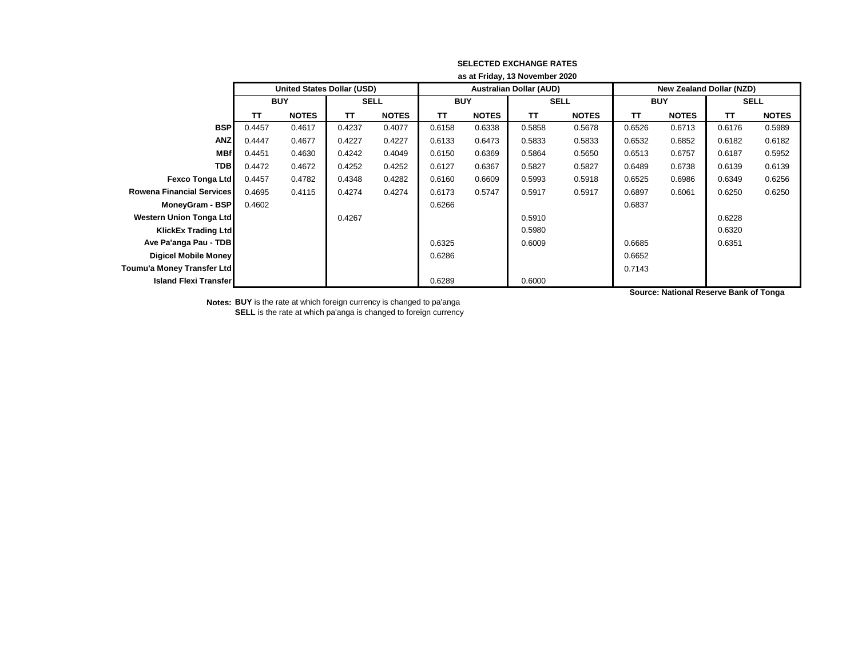|                                  | as at Friday, 13 November 2020 |                            |             |              |            |              |                                |              |                                 |              |             |              |
|----------------------------------|--------------------------------|----------------------------|-------------|--------------|------------|--------------|--------------------------------|--------------|---------------------------------|--------------|-------------|--------------|
|                                  |                                | United States Dollar (USD) |             |              |            |              | <b>Australian Dollar (AUD)</b> |              | <b>New Zealand Dollar (NZD)</b> |              |             |              |
|                                  | <b>BUY</b>                     |                            | <b>SELL</b> |              | <b>BUY</b> |              | <b>SELL</b>                    |              | <b>BUY</b>                      |              | <b>SELL</b> |              |
|                                  | TΤ                             | <b>NOTES</b>               | TΤ          | <b>NOTES</b> | TΤ         | <b>NOTES</b> | TΤ                             | <b>NOTES</b> | TΤ                              | <b>NOTES</b> | TΤ          | <b>NOTES</b> |
| <b>BSP</b>                       | 0.4457                         | 0.4617                     | 0.4237      | 0.4077       | 0.6158     | 0.6338       | 0.5858                         | 0.5678       | 0.6526                          | 0.6713       | 0.6176      | 0.5989       |
| <b>ANZ</b>                       | 0.4447                         | 0.4677                     | 0.4227      | 0.4227       | 0.6133     | 0.6473       | 0.5833                         | 0.5833       | 0.6532                          | 0.6852       | 0.6182      | 0.6182       |
| <b>MBf</b>                       | 0.4451                         | 0.4630                     | 0.4242      | 0.4049       | 0.6150     | 0.6369       | 0.5864                         | 0.5650       | 0.6513                          | 0.6757       | 0.6187      | 0.5952       |
| <b>TDB</b>                       | 0.4472                         | 0.4672                     | 0.4252      | 0.4252       | 0.6127     | 0.6367       | 0.5827                         | 0.5827       | 0.6489                          | 0.6738       | 0.6139      | 0.6139       |
| Fexco Tonga Ltd                  | 0.4457                         | 0.4782                     | 0.4348      | 0.4282       | 0.6160     | 0.6609       | 0.5993                         | 0.5918       | 0.6525                          | 0.6986       | 0.6349      | 0.6256       |
| <b>Rowena Financial Services</b> | 0.4695                         | 0.4115                     | 0.4274      | 0.4274       | 0.6173     | 0.5747       | 0.5917                         | 0.5917       | 0.6897                          | 0.6061       | 0.6250      | 0.6250       |
| MoneyGram - BSP                  | 0.4602                         |                            |             |              | 0.6266     |              |                                |              | 0.6837                          |              |             |              |
| <b>Western Union Tonga Ltd</b>   |                                |                            | 0.4267      |              |            |              | 0.5910                         |              |                                 |              | 0.6228      |              |
| <b>KlickEx Trading Ltdl</b>      |                                |                            |             |              |            |              | 0.5980                         |              |                                 |              | 0.6320      |              |
| Ave Pa'anga Pau - TDB            |                                |                            |             |              | 0.6325     |              | 0.6009                         |              | 0.6685                          |              | 0.6351      |              |
| <b>Digicel Mobile Money</b>      |                                |                            |             |              | 0.6286     |              |                                |              | 0.6652                          |              |             |              |
| Toumu'a Money Transfer Ltd       |                                |                            |             |              |            |              |                                |              | 0.7143                          |              |             |              |
| <b>Island Flexi Transfer</b>     |                                |                            |             |              | 0.6289     |              | 0.6000                         |              |                                 |              |             |              |

**Source: National Reserve Bank of Tonga**

**Notes: BUY** is the rate at which foreign currency is changed to pa'anga **SELL** is the rate at which pa'anga is changed to foreign currency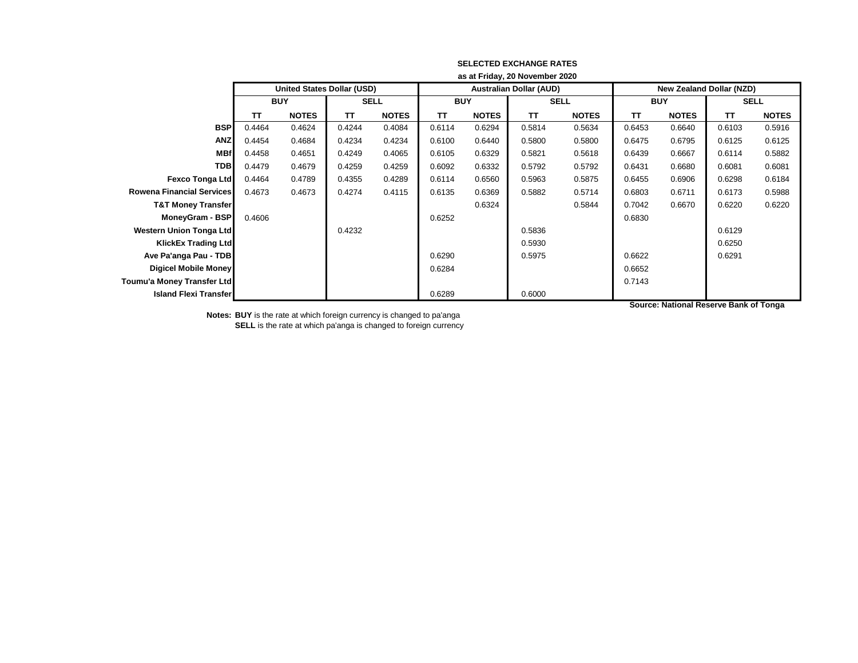|                                  | as at Friday, 20 November 2020 |                                   |             |              |            |              |                                |              |                                 |              |             |              |  |
|----------------------------------|--------------------------------|-----------------------------------|-------------|--------------|------------|--------------|--------------------------------|--------------|---------------------------------|--------------|-------------|--------------|--|
|                                  |                                | <b>United States Dollar (USD)</b> |             |              |            |              | <b>Australian Dollar (AUD)</b> |              | <b>New Zealand Dollar (NZD)</b> |              |             |              |  |
|                                  | <b>BUY</b>                     |                                   | <b>SELL</b> |              | <b>BUY</b> |              | <b>SELL</b>                    |              | <b>BUY</b>                      |              | <b>SELL</b> |              |  |
|                                  | TΤ                             | <b>NOTES</b>                      | TΤ          | <b>NOTES</b> | <b>TT</b>  | <b>NOTES</b> | TΤ                             | <b>NOTES</b> | <b>TT</b>                       | <b>NOTES</b> | <b>TT</b>   | <b>NOTES</b> |  |
| <b>BSP</b>                       | 0.4464                         | 0.4624                            | 0.4244      | 0.4084       | 0.6114     | 0.6294       | 0.5814                         | 0.5634       | 0.6453                          | 0.6640       | 0.6103      | 0.5916       |  |
| <b>ANZ</b>                       | 0.4454                         | 0.4684                            | 0.4234      | 0.4234       | 0.6100     | 0.6440       | 0.5800                         | 0.5800       | 0.6475                          | 0.6795       | 0.6125      | 0.6125       |  |
| <b>MBf</b>                       | 0.4458                         | 0.4651                            | 0.4249      | 0.4065       | 0.6105     | 0.6329       | 0.5821                         | 0.5618       | 0.6439                          | 0.6667       | 0.6114      | 0.5882       |  |
| <b>TDB</b>                       | 0.4479                         | 0.4679                            | 0.4259      | 0.4259       | 0.6092     | 0.6332       | 0.5792                         | 0.5792       | 0.6431                          | 0.6680       | 0.6081      | 0.6081       |  |
| <b>Fexco Tonga Ltd</b>           | 0.4464                         | 0.4789                            | 0.4355      | 0.4289       | 0.6114     | 0.6560       | 0.5963                         | 0.5875       | 0.6455                          | 0.6906       | 0.6298      | 0.6184       |  |
| <b>Rowena Financial Services</b> | 0.4673                         | 0.4673                            | 0.4274      | 0.4115       | 0.6135     | 0.6369       | 0.5882                         | 0.5714       | 0.6803                          | 0.6711       | 0.6173      | 0.5988       |  |
| <b>T&amp;T Money Transfer</b>    |                                |                                   |             |              |            | 0.6324       |                                | 0.5844       | 0.7042                          | 0.6670       | 0.6220      | 0.6220       |  |
| MoneyGram - BSP                  | 0.4606                         |                                   |             |              | 0.6252     |              |                                |              | 0.6830                          |              |             |              |  |
| Western Union Tonga Ltd          |                                |                                   | 0.4232      |              |            |              | 0.5836                         |              |                                 |              | 0.6129      |              |  |
| KlickEx Trading Ltd              |                                |                                   |             |              |            |              | 0.5930                         |              |                                 |              | 0.6250      |              |  |
| Ave Pa'anga Pau - TDB            |                                |                                   |             |              | 0.6290     |              | 0.5975                         |              | 0.6622                          |              | 0.6291      |              |  |
| <b>Digicel Mobile Money</b>      |                                |                                   |             |              | 0.6284     |              |                                |              | 0.6652                          |              |             |              |  |
| Toumu'a Money Transfer Ltd       |                                |                                   |             |              |            |              |                                |              | 0.7143                          |              |             |              |  |
| <b>Island Flexi Transfer</b>     |                                |                                   |             |              | 0.6289     |              | 0.6000                         |              |                                 |              |             |              |  |

**Notes: BUY** is the rate at which foreign currency is changed to pa'anga **SELL** is the rate at which pa'anga is changed to foreign currency **Source: National Reserve Bank of Tonga**